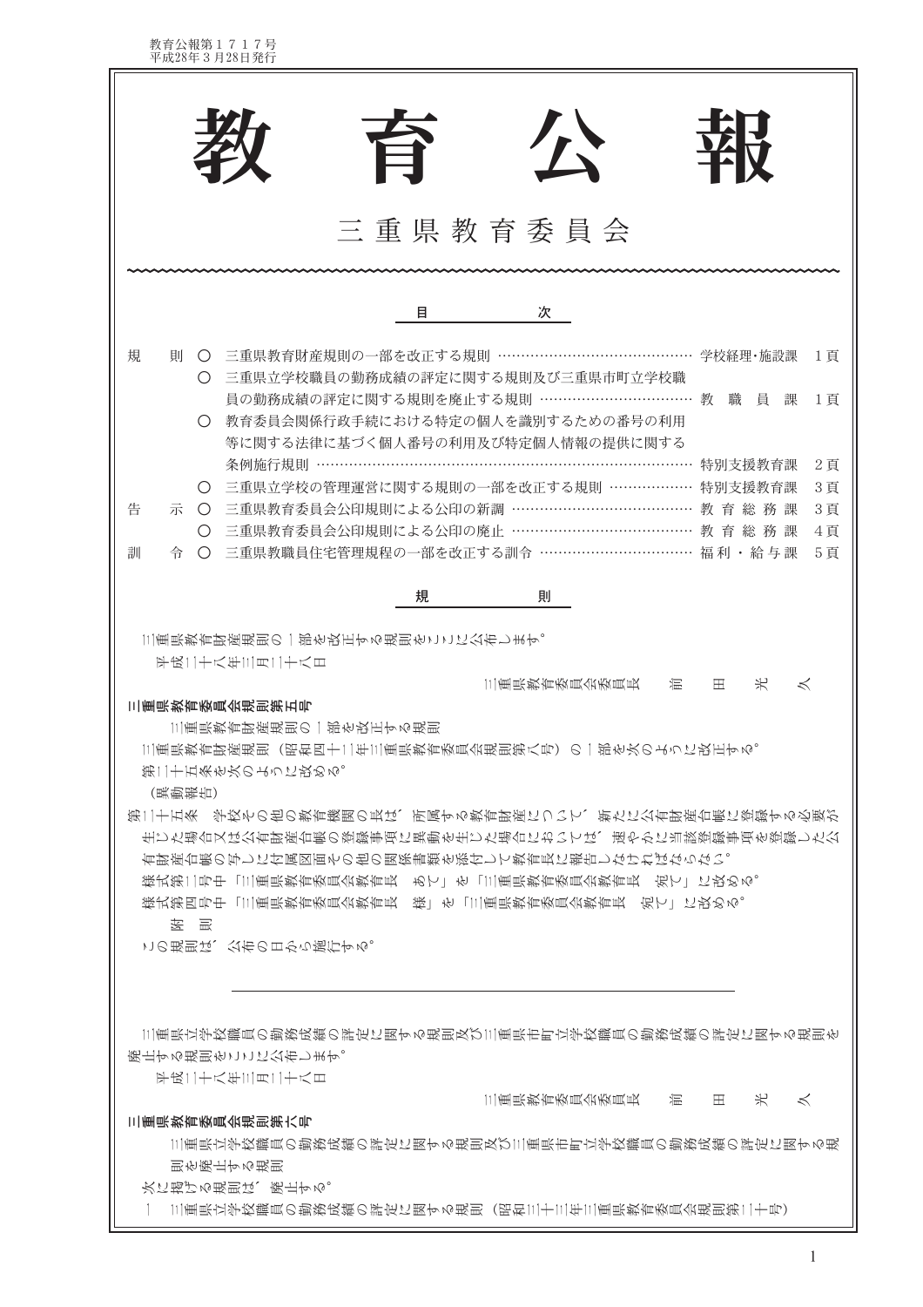教育公報第1717号<br>平成28年3月28日発行

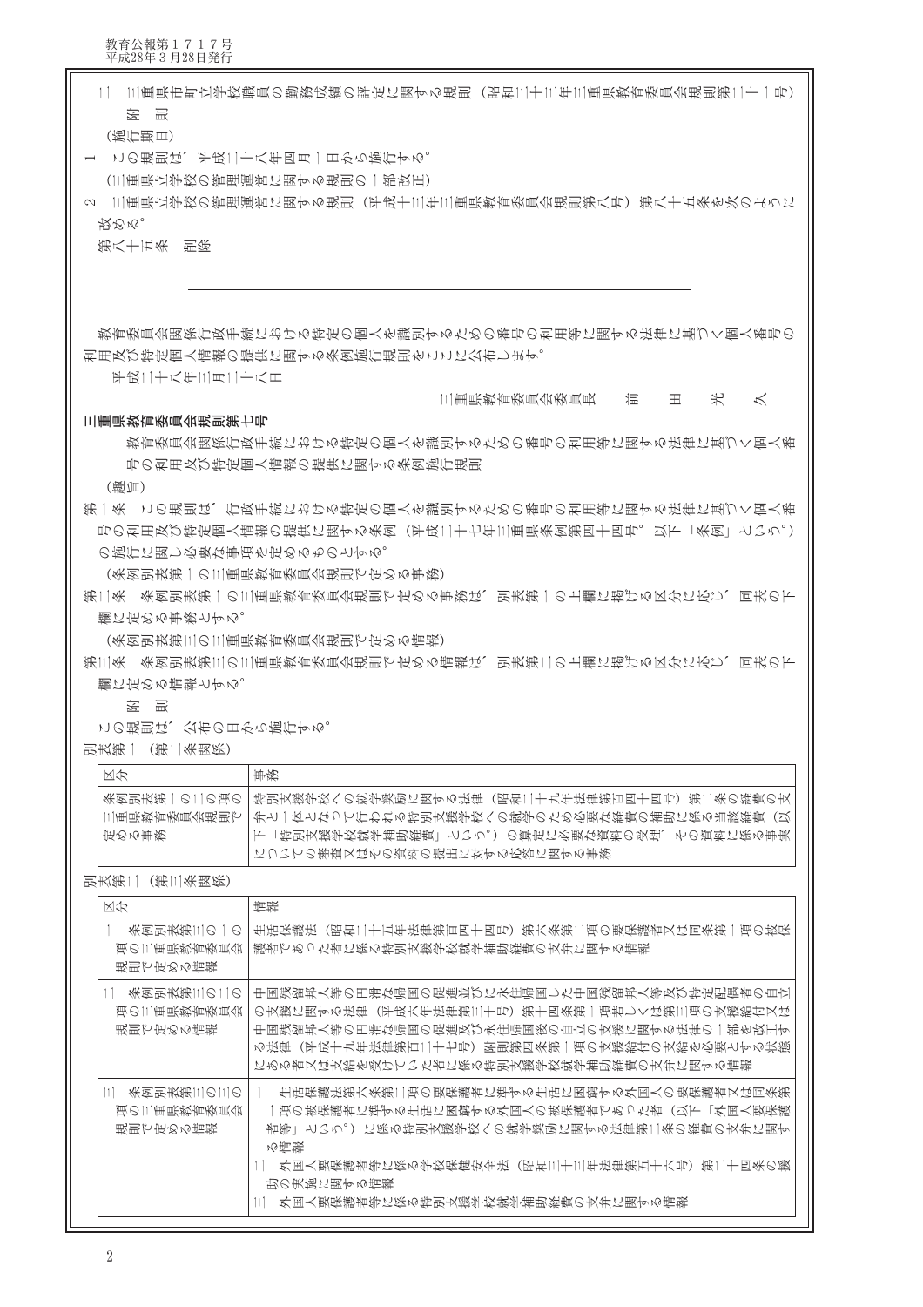教育公報第1717号<br>平成28年3月28日発行

|                             | 1│ 三重県市町立学校職員の勤務成績の評定に関する規則(昭和三十三年三重県教育委員会規則第二十一号)                                       |
|-----------------------------|------------------------------------------------------------------------------------------|
| (施行期日)                      |                                                                                          |
|                             | この規則は、平成二十八年四月一日から施行する。                                                                  |
|                             | (三重県立学校の管理運営に関する規則の一部改正)                                                                 |
|                             | 2 三重県立学校の管理運営に関する規則(平成十三年三重県教育委員会規則第八号)第八十五条を次のように                                       |
| 投めぬ。                        |                                                                                          |
| 第八十五条 削除                    |                                                                                          |
|                             |                                                                                          |
|                             |                                                                                          |
|                             |                                                                                          |
|                             | 教育委員会関係行政手続における特定の個人を識別するための番号の利用等に関する法律に基づく個人番号の                                        |
|                             | 利用及び特定個人情報の提供に関する条例施行規則をここに公布します。                                                        |
| 平成11十八年111月11十八日            |                                                                                          |
|                             | 光<br>三重県教育委員会委員長<br>混<br>$\lt$<br>Ħ.                                                     |
| 三重県教育委員会規則第七号               |                                                                                          |
|                             | 教育委員会関係行政手続における特定の個人を識別するための番号の利用等に関する法律に基づく個人番                                          |
|                             | 号の利用及び特定個人情報の提供に関する条例施行規則                                                                |
| (要)                         |                                                                                          |
|                             | 第一条(この規則は、行政手続における特定の個人を識別するための番号の利用等に関する法律に基づく個人番                                       |
|                             | 号の利用及び特定個人情報の提供に関する条例(平成二十七年三重県条例第四十四号。以下「条例」という。)                                       |
| の施行に関し必要な事項を定めるものとする。       |                                                                                          |
|                             | (条例別表第一の三重県教育委員会規則で定める事務)                                                                |
|                             | 第二条 条例別表第一の三重県教育委員会規則で定める事務は、別表第一の上欄に掲げる区分に応じ、同表の下                                       |
| 欄に定める事務とする。                 |                                                                                          |
|                             | (条例別表第三の三重県教育委員会規則で定める情報)                                                                |
|                             | 第三条 条例別表第三の三重県教育委員会規則で定める情報は、別表第二の上欄に掲げる区分に応じ、同表の下                                       |
| 臓に形める扁筬とする。                 |                                                                                          |
| 医<br>一冊                     |                                                                                          |
| この規則は、公布の日から施行する。           |                                                                                          |
| 别表第一(第二条関係)                 |                                                                                          |
| 区分                          | 事務                                                                                       |
| 条倒別表第一の11の頃の一               | 特別支援学校への就学奨励に関する法律(昭和二十九年法律第百四十四号)第二条の経費の支                                               |
| 三重県教育委員会規則で一                | 弁と一体となって行われる特引支援学校への就学のため必要な経費の補助に係る当該経費(以                                               |
| 定める事務                       | 下「特別支援学校就学補助経費」という。)の算定に必要な資料の受理、その資料に係る事実                                               |
|                             | についての審査又はその資料の提出に対する応答に関する事務                                                             |
| 别表第二(第三条関係)                 |                                                                                          |
| 区尔                          | 情報                                                                                       |
| ※密野拔第11の一の                  | 生活保護法(昭和二十五年法律第百四十四号)第六条第二項の要保護者又は同条第一項の被保                                               |
| 項の三重県教育委員会一                 | 護者であった者に係る特別支援学校就学補助経費の支弁に関する情報                                                          |
| 規則で定める情報                    |                                                                                          |
| 11 条風乳表第1110110             | 中国残留邦人等の円滑な帰国の促進並びに永住帰国した中国残留邦人等及び特定配偶者の自立                                               |
| 項の三重県教育委員会                  | の支援に関する法律(平成六年法律第三十号)第十四条第一項若しくは第三項の支援給付又は                                               |
|                             | 中国残留邦人等の円滑な帰国の促進及び永住帰国後の自立の支援に関する法律の一部を改正す<br>る法律(平成十九年法律第百二十七号)附則第四条第一項の支援給付の支給を必要とする状態 |
|                             | にある者又は支給を受けていた者に係る特別支援学校就学補助経費の支弁に関する情報                                                  |
|                             |                                                                                          |
| 条図別表第   の   の<br>項の三重県教育委員会 | 生活保護法第六条第二項の要保護者に準ずる生活に困窮する外国人の要保護者又は同条第<br>一項の被保護者に準ずる生活に困窮する外国人の被保護者であった者(以下「外国人要保護    |
|                             | 描等  という。)に係る特別支援学校への就学奨励に関する法律第二条の額費の支弁に関す                                               |
|                             | る庸誤                                                                                      |
|                             | 11  外国人要保護者等に係る学校保健安全法(昭和11十11年法律第五十六号)第11十四条の援                                          |
|                             | 助の実施に関する情報<br>外国人要保護者等に係る特別支援学校就学補助経費の支弁に関する情報                                           |
|                             |                                                                                          |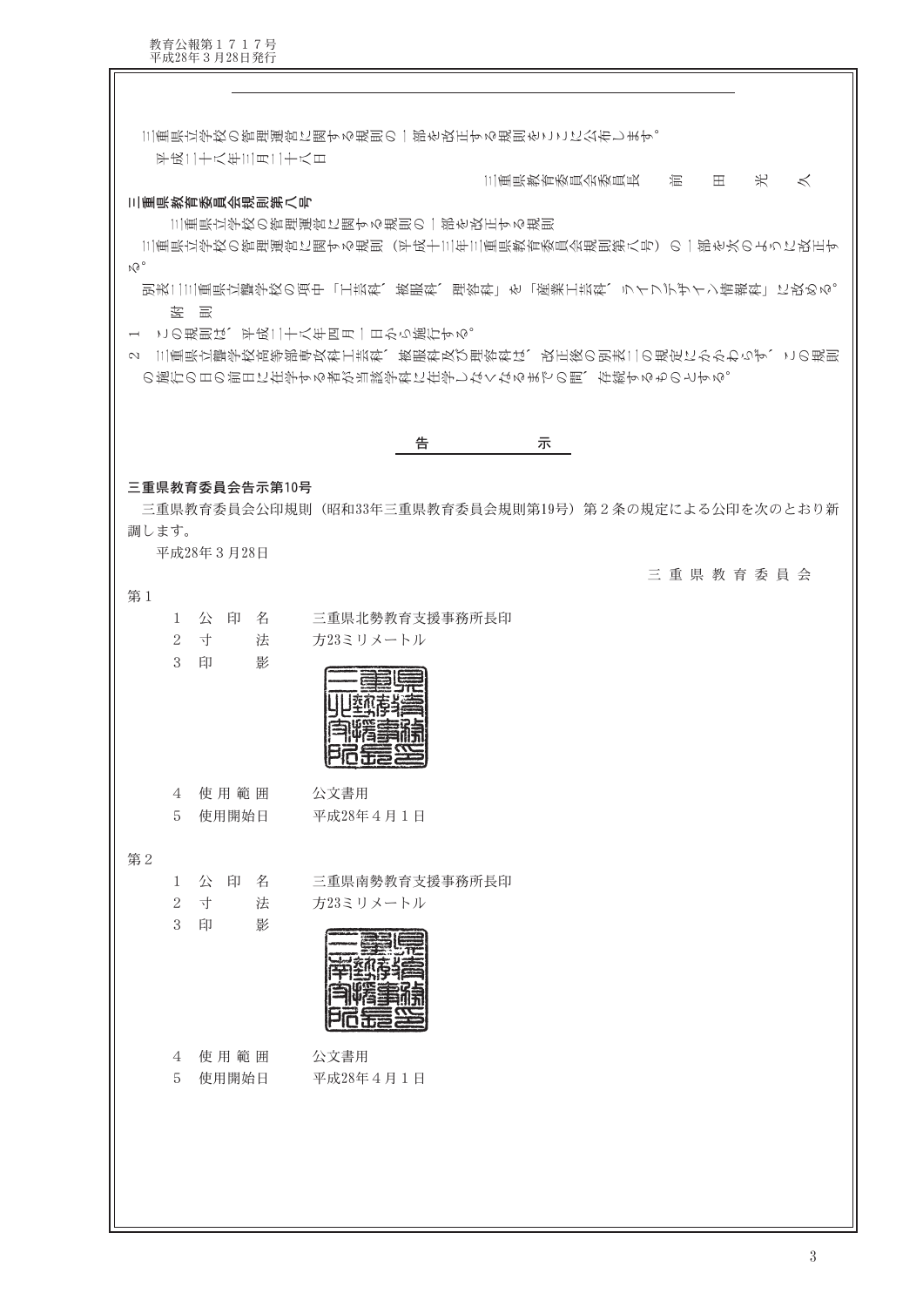教育公報第1717号<br>平成28年3月28日発行

 $\mathbb I$ 

| 三重県立学校の管理運営に関する規則の一部を改正する規則をここに公布します。<br>平成二十八年三月二十八日                                                    |
|----------------------------------------------------------------------------------------------------------|
| 米<br>三重県教育委員会委員長<br>混<br>$\boxplus$<br>$\lt$                                                             |
| 三重県教育委員会規則第八号                                                                                            |
| 三重県立学校の管理運営に関する規則の一部を改正する規則<br>三重県立学校の管理運営に関する規則(平成十三年三重県教育委員会規則第八号)の一部を次のように改正す                         |
| $M_0$                                                                                                    |
| 別表二三重県立聾学校の項中「工芸科、被服科、理容科」を「産業工芸科、ライフデザイン情報科」に改める。                                                       |
| 1 この規則は、平成二十八年四月一日から施行する。                                                                                |
| 三重県立聾学校高等部専攻科工芸科、被服科及び理容科は、改正後の別表二の規定にかかわらず、この規則<br>$\sim$<br>の施行の日の前日に在学する者が当該学科に在学しなくなるまでの間、存続するものとする。 |
|                                                                                                          |
| 告<br>示                                                                                                   |
|                                                                                                          |
| 三重県教育委員会告示第10号<br>三重県教育委員会公印規則(昭和33年三重県教育委員会規則第19号)第2条の規定による公印を次のとおり新                                    |
| 調します。                                                                                                    |
| 平成28年3月28日                                                                                               |
| 三重県教育委員会<br>第1                                                                                           |
| 1 公 印 名<br>三重県北勢教育支援事務所長印                                                                                |
| $\overline{2}$<br>寸<br>法<br>方23ミリメートル<br>3<br>印<br>影                                                     |
|                                                                                                          |
|                                                                                                          |
|                                                                                                          |
|                                                                                                          |
| 使用範囲<br>公文書用<br>4                                                                                        |
| 5<br>使用開始日<br>平成28年4月1日                                                                                  |
| 第2                                                                                                       |
| 公印名<br>三重県南勢教育支援事務所長印<br>1                                                                               |
| 寸<br>$\sqrt{2}$<br>法<br>方23ミリメートル                                                                        |
| 3<br>影<br>印                                                                                              |
|                                                                                                          |
|                                                                                                          |
|                                                                                                          |
| 使用範囲<br>公文書用<br>4                                                                                        |
| 5<br>使用開始日<br>平成28年4月1日                                                                                  |
|                                                                                                          |
|                                                                                                          |
|                                                                                                          |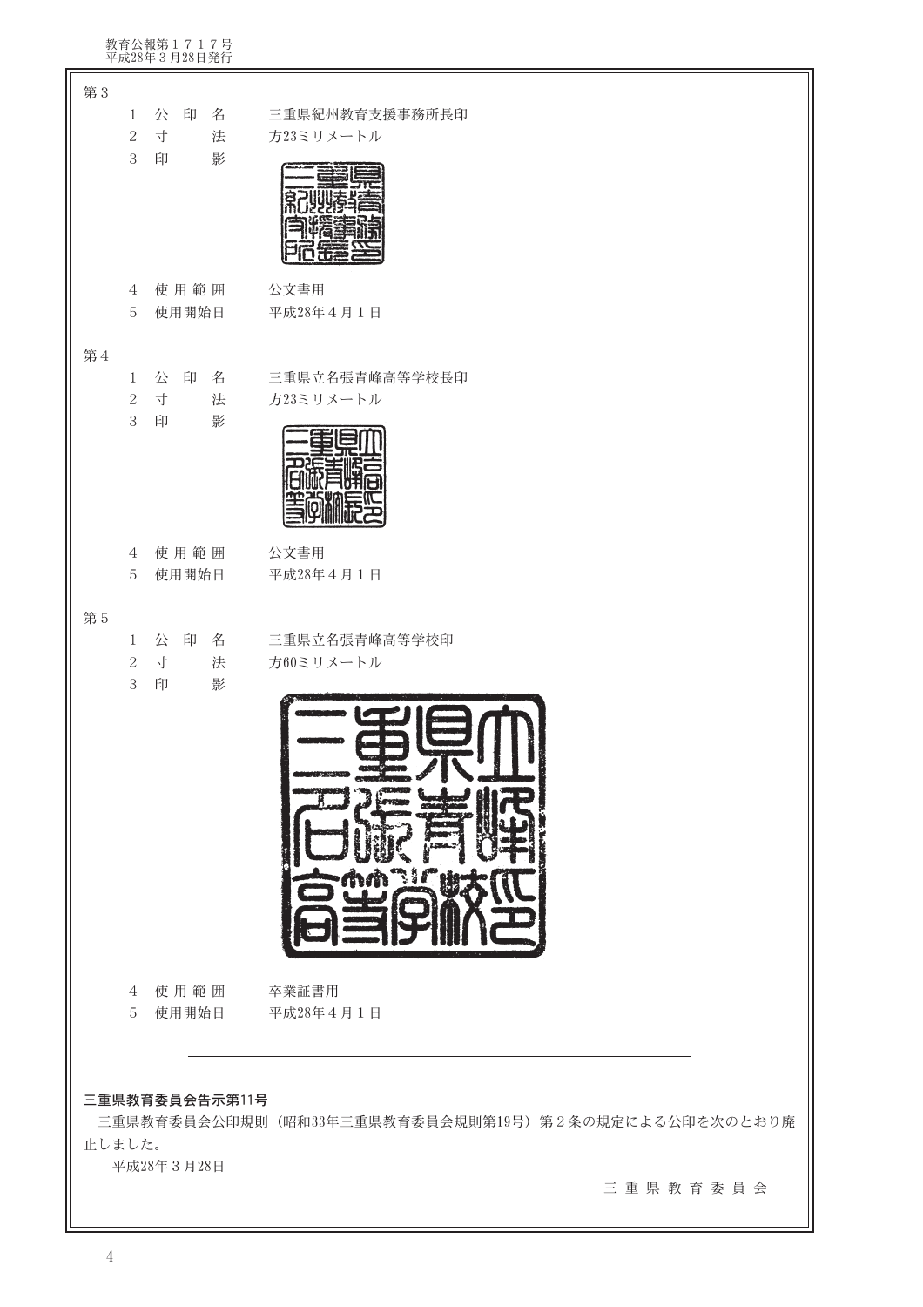| 教育公報第1717号<br>平成28年3月28日発行                                                       |                                                                 |
|----------------------------------------------------------------------------------|-----------------------------------------------------------------|
| 第3<br>公 印<br>名<br>$\mathbf{1}$<br>$\mathbf{2}$<br>寸<br>法<br>$\sqrt{3}$<br>影<br>印 | 三重県紀州教育支援事務所長印<br>方23ミリメートル                                     |
| 使用範囲<br>4<br>使用開始日<br>$\mathbf 5$                                                | 公文書用<br>平成28年4月1日                                               |
| 第4<br>1 公 印 名<br>$\sqrt{2}$<br>寸<br>法<br>$\sqrt{3}$<br>印<br>影                    | 三重県立名張青峰高等学校長印<br>方23ミリメートル                                     |
| 使用範囲<br>4<br>使用開始日<br>5                                                          | 公文書用<br>平成28年4月1日                                               |
| 第5<br>公印名<br>$\mathbf{1}$<br>寸<br>$\sqrt{2}$<br>法<br>$\sqrt{3}$<br>印<br>影        | 三重県立名張青峰高等学校印<br>方60ミリメートル<br>$\blacksquare$                    |
| 4 使用範囲<br>5 使用開始日                                                                | 卒業証書用<br>平成28年4月1日                                              |
| 三重県教育委員会告示第11号<br>止しました。<br>平成28年3月28日                                           | 三重県教育委員会公印規則(昭和33年三重県教育委員会規則第19号)第2条の規定による公印を次のとおり廃<br>三重県教育委員会 |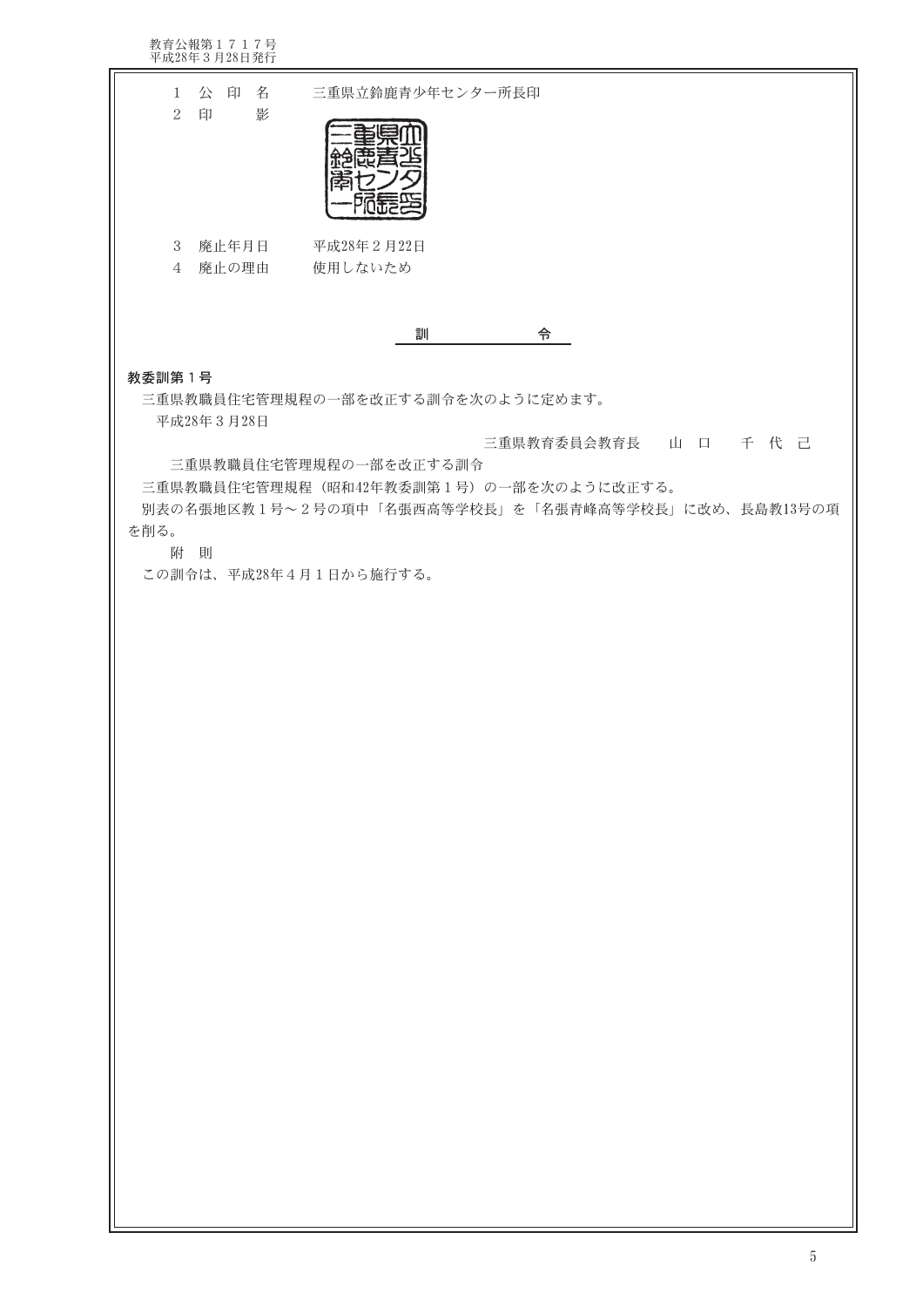教育公報第1717号<br>平成28年3月28日発行 1 公 印 名 三重県立鈴鹿青少年センター所長印 2 印 影 重演业 絶恵着酒 鄙わンタ 西哥的 3 廃止年月日 平成28年2月22日 4 廃止の理由 使用しないため 訓 ついて 今つ 教委訓第1号 三重県教職員住宅管理規程の一部を改正する訓令を次のように定めます。 平成28年3月28日 三重県教育委員会教育長 山 口 千 代 己 三重県教職員住宅管理規程の一部を改正する訓令 三重県教職員住宅管理規程 (昭和42年教委訓第1号) の一部を次のように改正する。 別表の名張地区教1号~2号の項中「名張西高等学校長」を「名張青峰高等学校長」に改め、長島教13号の項 を削る。 附 則 この訓令は、平成28年4月1日から施行する。